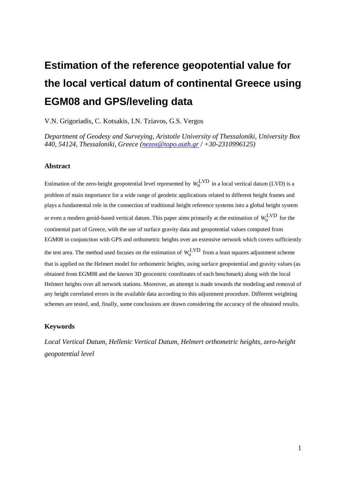# **Estimation of the reference geopotential value for the local vertical datum of continental Greece using EGM08 and GPS/leveling data**

V.N. Grigoriadis, C. Kotsakis, I.N. Tziavos, G.S. Vergos

*Department of Geodesy and Surveying, Aristotle University of Thessaloniki, University Box 440, 54124, Thessaloniki, Greece [\(nezos@topo.auth.gr](mailto:nezos@topo.auth.gr) / +30-2310996125)*

#### **Abstract**

Estimation of the zero-height geopotential level represented by  $W_0^{\text{LVD}}$  in a local vertical datum (LVD) is a problem of main importance for a wide range of geodetic applications related to different height frames and plays a fundamental role in the connection of traditional height reference systems into a global height system or even a modern geoid-based vertical datum. This paper aims primarily at the estimation of  $W_0^{\text{LVD}}$  for the continental part of Greece, with the use of surface gravity data and geopotential values computed from EGM08 in conjunction with GPS and orthometric heights over an extensive network which covers sufficiently the test area. The method used focuses on the estimation of  $W_0^{\text{LVD}}$  from a least squares adjustment scheme that is applied on the Helmert model for orthometric heights, using surface geopotential and gravity values (as obtained from EGM08 and the known 3D geocentric coordinates of each benchmark) along with the local Helmert heights over all network stations. Moreover, an attempt is made towards the modeling and removal of any height correlated errors in the available data according to this adjustment procedure. Different weighting schemes are tested, and, finally, some conclusions are drawn considering the accuracy of the obtained results.

#### **Keywords**

*Local Vertical Datum, Hellenic Vertical Datum, Helmert orthometric heights, zero-height geopotential level*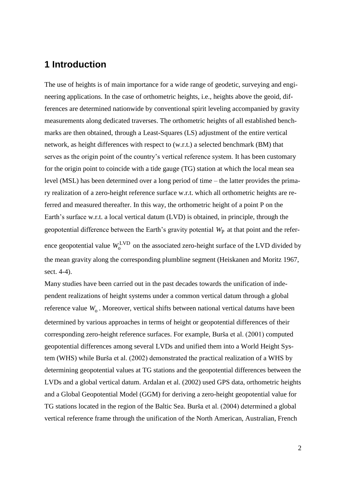## **1 Introduction**

The use of heights is of main importance for a wide range of geodetic, surveying and engineering applications. In the case of orthometric heights, i.e., heights above the geoid, differences are determined nationwide by conventional spirit leveling accompanied by gravity measurements along dedicated traverses. The orthometric heights of all established benchmarks are then obtained, through a Least-Squares (LS) adjustment of the entire vertical network, as height differences with respect to (w.r.t.) a selected benchmark (BM) that serves as the origin point of the country's vertical reference system. It has been customary for the origin point to coincide with a tide gauge (TG) station at which the local mean sea level (MSL) has been determined over a long period of time – the latter provides the primary realization of a zero-height reference surface w.r.t. which all orthometric heights are referred and measured thereafter. In this way, the orthometric height of a point P on the Earth's surface w.r.t. a local vertical datum (LVD) is obtained, in principle, through the geopotential difference between the Earth's gravity potential  $W_{\text{P}}$  at that point and the reference geopotential value  $W_0^{\text{LVD}}$  on the associated zero-height surface of the LVD divided by the mean gravity along the corresponding plumbline segment (Heiskanen and Moritz 1967, sect. 4-4).

Many studies have been carried out in the past decades towards the unification of independent realizations of height systems under a common vertical datum through a global reference value  $W_0$ . Moreover, vertical shifts between national vertical datums have been determined by various approaches in terms of height or geopotential differences of their corresponding zero-height reference surfaces. For example, Burša et al. (2001) computed geopotential differences among several LVDs and unified them into a World Height System (WHS) while Burša et al. (2002) demonstrated the practical realization of a WHS by determining geopotential values at TG stations and the geopotential differences between the LVDs and a global vertical datum. Ardalan et al. (2002) used GPS data, orthometric heights and a Global Geopotential Model (GGM) for deriving a zero-height geopotential value for TG stations located in the region of the Baltic Sea. Burša et al. (2004) determined a global vertical reference frame through the unification of the North American, Australian, French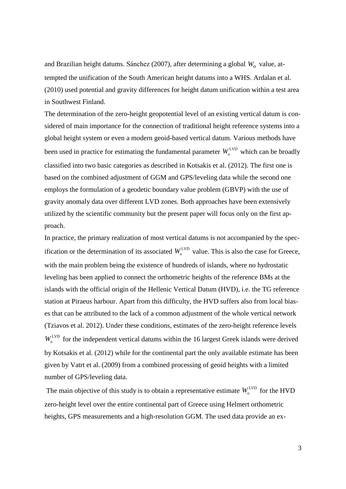and Brazilian height datums. Sánchez (2007), after determining a global  $W_0$  value, attempted the unification of the South American height datums into a WHS. Ardalan et al. (2010) used potential and gravity differences for height datum unification within a test area in Southwest Finland.

The determination of the zero-height geopotential level of an existing vertical datum is considered of main importance for the connection of traditional height reference systems into a global height system or even a modern geoid-based vertical datum. Various methods have been used in practice for estimating the fundamental parameter  $W_o^{\text{LVD}}$  which can be broadly classified into two basic categories as described in Kotsakis et al. (2012). The first one is based on the combined adjustment of GGM and GPS/leveling data while the second one employs the formulation of a geodetic boundary value problem (GBVP) with the use of gravity anomaly data over different LVD zones. Both approaches have been extensively utilized by the scientific community but the present paper will focus only on the first approach.

In practice, the primary realization of most vertical datums is not accompanied by the specification or the determination of its associated  $W<sub>o</sub><sup>LVD</sup>$  value. This is also the case for Greece, with the main problem being the existence of hundreds of islands, where no hydrostatic leveling has been applied to connect the orthometric heights of the reference BMs at the islands with the official origin of the Hellenic Vertical Datum (HVD), i.e. the TG reference station at Piraeus harbour. Apart from this difficulty, the HVD suffers also from local biases that can be attributed to the lack of a common adjustment of the whole vertical network (Tziavos et al. 2012). Under these conditions, estimates of the zero-height reference levels  $W_0^{\text{LVD}}$  for the independent vertical datums within the 16 largest Greek islands were derived by Kotsakis et al. (2012) while for the continental part the only available estimate has been given by Vatrt et al. (2009) from a combined processing of geoid heights with a limited number of GPS/leveling data.

The main objective of this study is to obtain a representative estimate  $W_0^{\text{LVD}}$  for the HVD zero-height level over the entire continental part of Greece using Helmert orthometric heights, GPS measurements and a high-resolution GGM. The used data provide an ex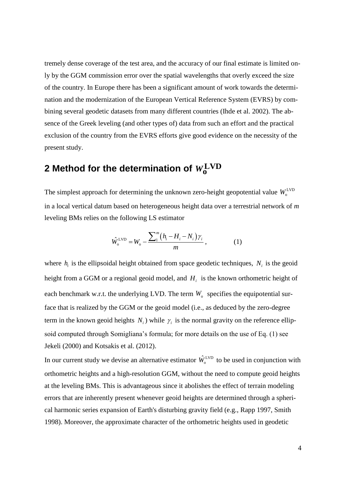tremely dense coverage of the test area, and the accuracy of our final estimate is limited only by the GGM commission error over the spatial wavelengths that overly exceed the size of the country. In Europe there has been a significant amount of work towards the determination and the modernization of the European Vertical Reference System (EVRS) by combining several geodetic datasets from many different countries (Ihde et al. 2002). The absence of the Greek leveling (and other types of) data from such an effort and the practical exclusion of the country from the EVRS efforts give good evidence on the necessity of the present study.

## **2** Method for the determination of  $W^{\rm LVD}_0$

The simplest approach for determining the unknown zero-height geopotential value  $W_0^{\text{LVD}}$ in a local vertical datum based on heterogeneous height data over a terrestrial network of *m* leveling BMs relies on the following LS estimator

$$
\hat{W}_{o}^{\text{LVD}} = W_{o} - \frac{\sum_{i=1}^{m} (h_{i} - H_{i} - N_{i}) \gamma_{i}}{m}, \qquad (1)
$$

where  $h_i$  is the ellipsoidal height obtained from space geodetic techniques,  $N_i$  is the geoid height from a GGM or a regional geoid model, and  $H<sub>i</sub>$  is the known orthometric height of each benchmark w.r.t. the underlying LVD. The term  $W_0$  specifies the equipotential surface that is realized by the GGM or the geoid model (i.e., as deduced by the zero-degree term in the known geoid heights  $N_i$ ) while  $\gamma_i$  is the normal gravity on the reference ellipsoid computed through Somigliana's formula; for more details on the use of Eq. (1) see Jekeli (2000) and Kotsakis et al. (2012).

In our current study we devise an alternative estimator  $\hat{W}_0^{\text{LVD}}$  to be used in conjunction with orthometric heights and a high-resolution GGM, without the need to compute geoid heights at the leveling BMs. This is advantageous since it abolishes the effect of terrain modeling errors that are inherently present whenever geoid heights are determined through a spherical harmonic series expansion of Earth's disturbing gravity field (e.g., Rapp 1997, Smith 1998). Moreover, the approximate character of the orthometric heights used in geodetic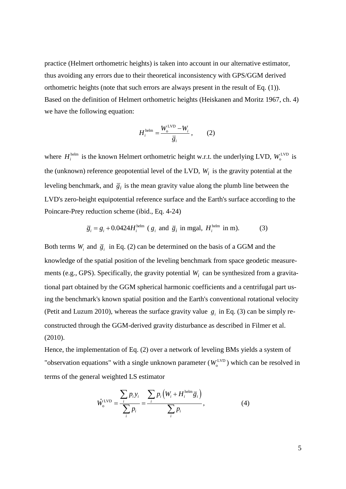practice (Helmert orthometric heights) is taken into account in our alternative estimator, thus avoiding any errors due to their theoretical inconsistency with GPS/GGM derived orthometric heights (note that such errors are always present in the result of Eq. (1)). Based on the definition of Helmert orthometric heights (Heiskanen and Moritz 1967, ch. 4) we have the following equation:

$$
H_i^{\text{helm}} = \frac{W_0^{\text{LVD}} - W_i}{\overline{g}_i},\qquad(2)
$$

where  $H_i^{\text{helm}}$  is the known Helmert orthometric height w.r.t. the underlying LVD,  $W_o^{\text{LVD}}$  is the (unknown) reference geopotential level of the LVD, *Wi* is the gravity potential at the leveling benchmark, and  $\overline{g}_i$  is the mean gravity value along the plumb line between the LVD's zero-height equipotential reference surface and the Earth's surface according to the Poincare-Prey reduction scheme (ibid., Eq. 4-24)

$$
\overline{g}_i = g_i + 0.0424 H_i^{\text{helm}} \ (g_i \text{ and } \overline{g}_i \text{ in mgal}, H_i^{\text{helm}} \text{ in m}). \tag{3}
$$

Both terms  $W_i$  and  $\overline{g}_i$  in Eq. (2) can be determined on the basis of a GGM and the knowledge of the spatial position of the leveling benchmark from space geodetic measurements (e.g., GPS). Specifically, the gravity potential *Wi* can be synthesized from a gravitational part obtained by the GGM spherical harmonic coefficients and a centrifugal part using the benchmark's known spatial position and the Earth's conventional rotational velocity (Petit and Luzum 2010), whereas the surface gravity value  $g_i$  in Eq. (3) can be simply reconstructed through the GGM-derived gravity disturbance as described in Filmer et al. (2010).

Hence, the implementation of Eq. (2) over a network of leveling BMs yields a system of "observation equations" with a single unknown parameter  $(W<sub>o</sub><sup>LVD</sup>)$  which can be resolved in

terms of the general weighted LS estimator  
\n
$$
\hat{W}_o^{\text{LVD}} = \frac{\sum_{i} p_i y_i}{\sum_{i} p_i} = \frac{\sum_{i} p_i (W_i + H_i^{\text{helm}} \overline{g}_i)}{\sum_{i} p_i},
$$
\n(4)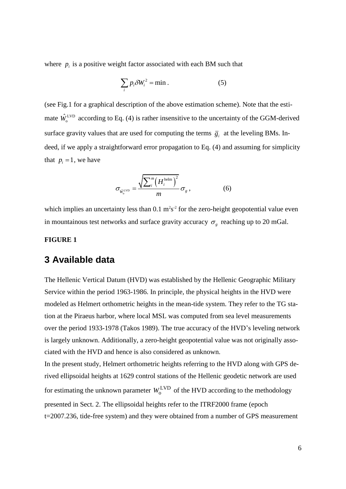where  $p_i$  is a positive weight factor associated with each BM such that

$$
\sum_{i} p_i \delta W_i^2 = \min. \tag{5}
$$

(see Fig.1 for a graphical description of the above estimation scheme). Note that the estimate  $\hat{W}_0^{\text{LVD}}$  according to Eq. (4) is rather insensitive to the uncertainty of the GGM-derived surface gravity values that are used for computing the terms  $\overline{g}_i$  at the leveling BMs. Indeed, if we apply a straightforward error propagation to Eq. (4) and assuming for simplicity that  $p_i = 1$ , we have

$$
\sigma_{\hat{W}_o^{\text{LVD}}} = \frac{\sqrt{\sum_i^m \left(H_i^{\text{helm}}\right)^2}}{m} \sigma_g \,, \tag{6}
$$

which implies an uncertainty less than  $0.1 \text{ m}^2\text{s}^2$  for the zero-height geopotential value even in mountainous test networks and surface gravity accuracy  $\sigma_{g}$  reaching up to 20 mGal.

#### **FIGURE 1**

## **3 Available data**

The Hellenic Vertical Datum (HVD) was established by the Hellenic Geographic Military Service within the period 1963-1986. In principle, the physical heights in the HVD were modeled as Helmert orthometric heights in the mean-tide system. They refer to the TG station at the Piraeus harbor, where local MSL was computed from sea level measurements over the period 1933-1978 (Takos 1989). The true accuracy of the HVD's leveling network is largely unknown. Additionally, a zero-height geopotential value was not originally associated with the HVD and hence is also considered as unknown.

In the present study, Helmert orthometric heights referring to the HVD along with GPS derived ellipsoidal heights at 1629 control stations of the Hellenic geodetic network are used for estimating the unknown parameter  $W_0^{\text{LVD}}$  of the HVD according to the methodology presented in Sect. 2. The ellipsoidal heights refer to the ITRF2000 frame (epoch t=2007.236, tide-free system) and they were obtained from a number of GPS measurement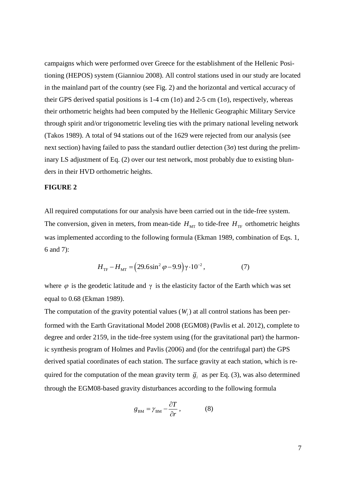campaigns which were performed over Greece for the establishment of the Hellenic Positioning (HEPOS) system (Gianniou 2008). All control stations used in our study are located in the mainland part of the country (see Fig. 2) and the horizontal and vertical accuracy of their GPS derived spatial positions is  $1-4$  cm  $(1\sigma)$  and  $2-5$  cm  $(1\sigma)$ , respectively, whereas their orthometric heights had been computed by the Hellenic Geographic Military Service through spirit and/or trigonometric leveling ties with the primary national leveling network (Takos 1989). A total of 94 stations out of the 1629 were rejected from our analysis (see next section) having failed to pass the standard outlier detection  $(3\sigma)$  test during the preliminary LS adjustment of Eq. (2) over our test network, most probably due to existing blunders in their HVD orthometric heights.

#### **FIGURE 2**

All required computations for our analysis have been carried out in the tide-free system. The conversion, given in meters, from mean-tide  $H_{\text{MT}}$  to tide-free  $H_{\text{TF}}$  orthometric heights was implemented according to the following formula (Ekman 1989, combination of Eqs. 1, 6 and 7):

$$
H_{\text{TF}} - H_{\text{MT}} = (29.6 \sin^2 \varphi - 9.9) \gamma \cdot 10^{-2}, \tag{7}
$$

where  $\varphi$  is the geodetic latitude and  $\gamma$  is the elasticity factor of the Earth which was set equal to 0.68 (Ekman 1989).

The computation of the gravity potential values  $(W<sub>i</sub>)$  at all control stations has been performed with the Earth Gravitational Model 2008 (EGM08) (Pavlis et al. 2012), complete to degree and order 2159, in the tide-free system using (for the gravitational part) the harmonic synthesis program of Holmes and Pavlis (2006) and (for the centrifugal part) the GPS derived spatial coordinates of each station. The surface gravity at each station, which is required for the computation of the mean gravity term  $\overline{g}_i$  as per Eq. (3), was also determined through the EGM08-based gravity disturbances according to the following formula

$$
g_{BM} = \gamma_{BM} - \frac{\partial T}{\partial r}, \qquad (8)
$$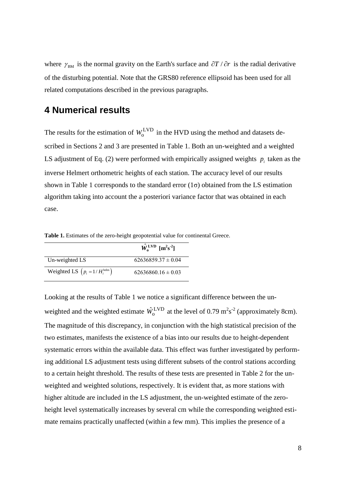where  $\gamma_{BM}$  is the normal gravity on the Earth's surface and  $\partial T / \partial r$  is the radial derivative of the disturbing potential. Note that the GRS80 reference ellipsoid has been used for all related computations described in the previous paragraphs.

## **4 Numerical results**

The results for the estimation of  $W_0^{\text{LVD}}$  in the HVD using the method and datasets described in Sections 2 and 3 are presented in Table 1. Both an un-weighted and a weighted LS adjustment of Eq. (2) were performed with empirically assigned weights  $p_i$  taken as the inverse Helmert orthometric heights of each station. The accuracy level of our results shown in Table 1 corresponds to the standard error  $(1\sigma)$  obtained from the LS estimation algorithm taking into account the a posteriori variance factor that was obtained in each case.

 $\hat{W}_o^{\text{LVD}}$   $[m^2s^2]$ Un-weighted LS  $62636859.37 \pm 0.04$ Weighted LS  $\left( p_i = 1/H_i^{\text{helm}} \right)$  $62636860.16 \pm 0.03$ 

**Table 1.** Estimates of the zero-height geopotential value for continental Greece.

Looking at the results of Table 1 we notice a significant difference between the unweighted and the weighted estimate  $\hat{W}_0^{\text{LVD}}$  at the level of 0.79  $\text{m}^2\text{s}^{-2}$  (approximately 8cm). The magnitude of this discrepancy, in conjunction with the high statistical precision of the two estimates, manifests the existence of a bias into our results due to height-dependent systematic errors within the available data. This effect was further investigated by performing additional LS adjustment tests using different subsets of the control stations according to a certain height threshold. The results of these tests are presented in Table 2 for the unweighted and weighted solutions, respectively. It is evident that, as more stations with higher altitude are included in the LS adjustment, the un-weighted estimate of the zeroheight level systematically increases by several cm while the corresponding weighted estimate remains practically unaffected (within a few mm). This implies the presence of a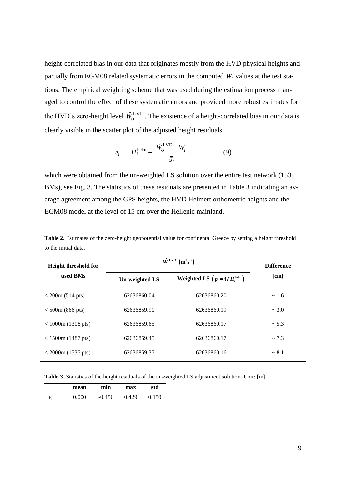height-correlated bias in our data that originates mostly from the HVD physical heights and partially from EGM08 related systematic errors in the computed *Wi* values at the test stations. The empirical weighting scheme that was used during the estimation process managed to control the effect of these systematic errors and provided more robust estimates for the HVD's zero-height level  $\hat{W}_0^{\text{LVD}}$ . The existence of a height-correlated bias in our data is clearly visible in the scatter plot of the adjusted height residuals

$$
e_i = H_i^{\text{helm}} - \frac{\hat{W}_0^{\text{LVD}} - W_i}{\overline{g}_i},\tag{9}
$$

which were obtained from the un-weighted LS solution over the entire test network (1535) BMs), see Fig. 3. The statistics of these residuals are presented in Table 3 indicating an average agreement among the GPS heights, the HVD Helmert orthometric heights and the EGM08 model at the level of 15 cm over the Hellenic mainland.

| Height threshold for<br>used BMs | $\hat{W}_{o}^{\text{LVD}}$ [m <sup>2</sup> s <sup>-2</sup> ] | <b>Difference</b>                         |      |
|----------------------------------|--------------------------------------------------------------|-------------------------------------------|------|
|                                  | <b>Un-weighted LS</b>                                        | Weighted LS $(p_i = 1/H_i^{\text{helm}})$ | [cm] |
| $<$ 200m (514 pts)               | 62636860.04                                                  | 62636860.20                               | ~1.6 |
| $< 500$ m (866 pts)              | 62636859.90                                                  | 62636860.19                               | ~1.0 |
| $< 1000$ m (1308 pts)            | 62636859.65                                                  | 62636860.17                               | ~1.3 |
| $< 1500m (1487 \text{ pts})$     | 62636859.45                                                  | 62636860.17                               | ~1.3 |
| $<$ 2000m (1535 pts)             | 62636859.37                                                  | 62636860.16                               | ~1   |

**Table 2.** Estimates of the zero-height geopotential value for continental Greece by setting a height threshold to the initial data.

**Table 3.** Statistics of the height residuals of the un-weighted LS adjustment solution. Unit: [m]

|       | mean  | min      | max   | std   |
|-------|-------|----------|-------|-------|
| $e_i$ | 0.000 | $-0.456$ | 0.429 | 0.150 |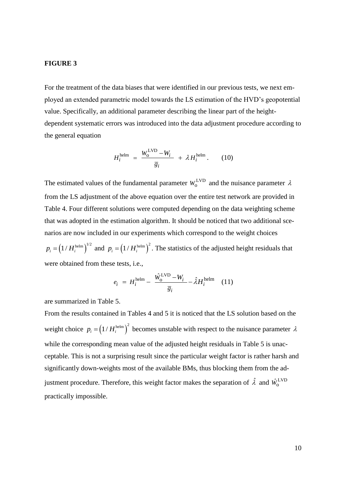#### **FIGURE 3**

For the treatment of the data biases that were identified in our previous tests, we next employed an extended parametric model towards the LS estimation of the HVD's geopotential value. Specifically, an additional parameter describing the linear part of the heightdependent systematic errors was introduced into the data adjustment procedure according to the general equation

$$
H_i^{\text{helm}} = \frac{W_0^{\text{LVD}} - W_i}{\overline{g}_i} + \lambda H_i^{\text{helm}}.
$$
 (10)

The estimated values of the fundamental parameter  $W_0^{\text{LVD}}$  and the nuisance parameter  $\lambda$ from the LS adjustment of the above equation over the entire test network are provided in Table 4. Four different solutions were computed depending on the data weighting scheme that was adopted in the estimation algorithm. It should be noticed that two additional scenarios are now included in our experiments which correspond to the weight choices

 $p_i = (1/H_i^{\text{helm}})^{1/2}$  and  $p_i = (1/H_i^{\text{helm}})^2$ . The statistics of the adjusted height residuals that were obtained from these tests, i.e.,

$$
e_i = H_i^{\text{helm}} - \frac{\hat{W}_0^{\text{LVD}} - W_i}{\overline{g}_i} - \hat{\lambda} H_i^{\text{helm}} \quad (11)
$$

are summarized in Table 5.

From the results contained in Tables 4 and 5 it is noticed that the LS solution based on the weight choice  $p_i = (1/H_i^{\text{helm}})^2$  becomes unstable with respect to the nuisance parameter  $\lambda$ while the corresponding mean value of the adjusted height residuals in Table 5 is unacceptable. This is not a surprising result since the particular weight factor is rather harsh and significantly down-weights most of the available BMs, thus blocking them from the adjustment procedure. Therefore, this weight factor makes the separation of  $\hat{\lambda}$  and  $\hat{W}^{\mathrm{LVD}}_{\mathrm{o}}$ practically impossible.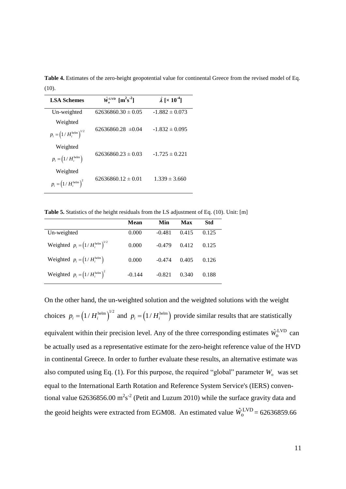| <b>LSA Schemes</b>                              | $\hat{W}_{o}^{\text{LVD}}$ [m <sup>2</sup> s <sup>2</sup> ] | $\hat{\lambda}$ [× 10 <sup>-4</sup> ] |  |
|-------------------------------------------------|-------------------------------------------------------------|---------------------------------------|--|
| Un-weighted                                     | $62636860.30 \pm 0.05$                                      | $-1.882 \pm 0.073$                    |  |
| Weighted<br>$p_i = (1/H_i^{\text{helm}})^{1/2}$ | $62636860.28 \pm 0.04$                                      | $-1.832 \pm 0.095$                    |  |
| Weighted<br>$p_i = (1/H_i^{\text{helm}})$       | $62636860.23 \pm 0.03$                                      | $-1.725 \pm 0.221$                    |  |
| Weighted<br>$p_i = (1/H_i^{\text{helm}})^2$     | $62636860.12 \pm 0.01$                                      | $1.339 \pm 3.660$                     |  |

**Table 4.** Estimates of the zero-height geopotential value for continental Greece from the revised model of Eq.  $(10)$ .

**Table 5.** Statistics of the height residuals from the LS adjustment of Eq. (10). Unit: [m]

|                                              | Mean     | Min      | Max   | <b>Std</b> |
|----------------------------------------------|----------|----------|-------|------------|
| Un-weighted                                  | 0.000    | $-0.481$ | 0.415 | 0.125      |
| Weighted $p_i = (1/H_i^{\text{helm}})^{1/2}$ | 0.000    | $-0.479$ | 0.412 | 0.125      |
| Weighted $p_i = (1/H_i^{\text{helm}})$       | 0.000    | $-0.474$ | 0.405 | 0.126      |
| Weighted $p_i = (1/H_i^{\text{helm}})^2$     | $-0.144$ | $-0.821$ | 0.340 | 0.188      |

On the other hand, the un-weighted solution and the weighted solutions with the weight choices  $p_i = (1/H_i^{\text{helm}})^{1/2}$  and  $p_i = (1/H_i^{\text{helm}})$  provide similar results that are statistically equivalent within their precision level. Any of the three corresponding estimates  $\hat{W}_0^{\text{LVD}}$  can be actually used as a representative estimate for the zero-height reference value of the HVD in continental Greece. In order to further evaluate these results, an alternative estimate was also computed using Eq.  $(1)$ . For this purpose, the required "global" parameter  $W_0$  was set equal to the International Earth Rotation and Reference System Service's (IERS) conventional value 62636856.00  $m^2s^2$  (Petit and Luzum 2010) while the surface gravity data and the geoid heights were extracted from EGM08. An estimated value  $\hat{W}_0^{\text{LVD}} = 62636859.66$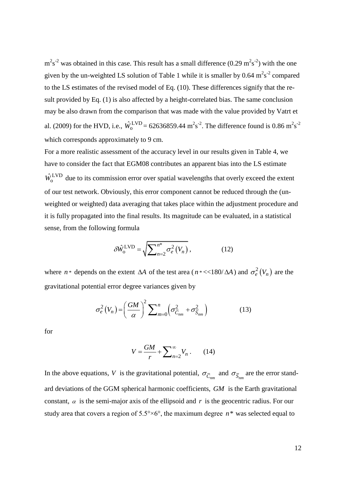$m^2s^2$  was obtained in this case. This result has a small difference (0.29  $m^2s^2$ ) with the one given by the un-weighted LS solution of Table 1 while it is smaller by 0.64  $m^2s^2$  compared to the LS estimates of the revised model of Eq. (10). These differences signify that the result provided by Eq. (1) is also affected by a height-correlated bias. The same conclusion may be also drawn from the comparison that was made with the value provided by Vatrt et al. (2009) for the HVD, i.e.,  $\hat{W}_0^{\text{LVD}} = 62636859.44 \text{ m}^2\text{s}^{-2}$ . The difference found is 0.86  $\text{m}^2\text{s}^{-2}$ which corresponds approximately to 9 cm.

For a more realistic assessment of the accuracy level in our results given in Table 4, we have to consider the fact that EGM08 contributes an apparent bias into the LS estimate  $\hat{W}_o^{\text{LVD}}$  due to its commission error over spatial wavelengths that overly exceed the extent of our test network. Obviously, this error component cannot be reduced through the (unweighted or weighted) data averaging that takes place within the adjustment procedure and it is fully propagated into the final results. Its magnitude can be evaluated, in a statistical sense, from the following formula

$$
\delta \hat{W}_o^{\text{LVD}} = \sqrt{\sum_{n=2}^{n^*} \sigma_e^2(V_n)},\tag{12}
$$

where *n*<sup>\*</sup> depends on the extent  $\Delta A$  of the test area (*n*<sup>\*</sup> <<180/ $\Delta A$ ) and  $\sigma_e^2(V_n)$  are the gravitational potential error degree variances given by

$$
\sigma_e^2(V_n) = \left(\frac{GM}{\alpha}\right)^2 \sum_{m=0}^n \left(\sigma_{\overline{C}_{nm}}^2 + \sigma_{\overline{S}_{nm}}^2\right)
$$
(13)

for

$$
V = \frac{GM}{r} + \sum_{n=2}^{\infty} V_n \,. \tag{14}
$$

In the above equations, V is the gravitational potential,  $\sigma_{\bar{C}_{nm}}$  and  $\sigma_{\bar{S}_{nm}}$  are the error standard deviations of the GGM spherical harmonic coefficients, *GM* is the Earth gravitational constant,  $\alpha$  is the semi-major axis of the ellipsoid and  $r$  is the geocentric radius. For our study area that covers a region of  $5.5^{\circ} \times 6^{\circ}$ , the maximum degree  $n^*$  was selected equal to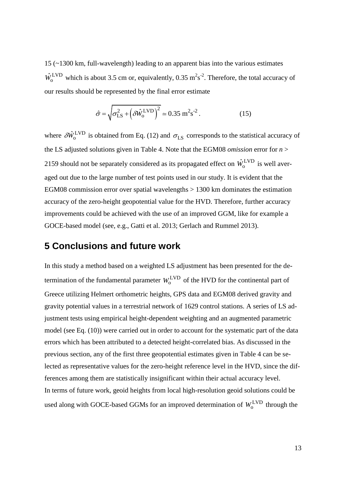15 (~1300 km, full-wavelength) leading to an apparent bias into the various estimates  $\hat{W}_o^{\text{LVD}}$  which is about 3.5 cm or, equivalently, 0.35 m<sup>2</sup>s<sup>-2</sup>. Therefore, the total accuracy of our results should be represented by the final error estimate

$$
\hat{\sigma} = \sqrt{\sigma_{\text{LS}}^2 + \left(\delta \hat{W}_o^{\text{LVD}}\right)^2} \approx 0.35 \text{ m}^2 \text{s}^{-2}. \tag{15}
$$

where  $\delta \hat{W}_{o}^{\text{LVD}}$  $\delta \hat{W}_o^{\text{LVD}}$  is obtained from Eq. (12) and  $\sigma_{\text{LS}}$  corresponds to the statistical accuracy of the LS adjusted solutions given in Table 4. Note that the EGM08 *omission* error for *n* > 2159 should not be separately considered as its propagated effect on  $\hat{W}_0^{\text{LVD}}$  is well averaged out due to the large number of test points used in our study. It is evident that the EGM08 commission error over spatial wavelengths > 1300 km dominates the estimation accuracy of the zero-height geopotential value for the HVD. Therefore, further accuracy improvements could be achieved with the use of an improved GGM, like for example a GOCE-based model (see, e.g., Gatti et al. 2013; Gerlach and Rummel 2013).

## **5 Conclusions and future work**

In this study a method based on a weighted LS adjustment has been presented for the determination of the fundamental parameter  $W_0^{\text{LVD}}$  of the HVD for the continental part of Greece utilizing Helmert orthometric heights, GPS data and EGM08 derived gravity and gravity potential values in a terrestrial network of 1629 control stations. A series of LS adjustment tests using empirical height-dependent weighting and an augmented parametric model (see Eq. (10)) were carried out in order to account for the systematic part of the data errors which has been attributed to a detected height-correlated bias. As discussed in the previous section, any of the first three geopotential estimates given in Table 4 can be selected as representative values for the zero-height reference level in the HVD, since the differences among them are statistically insignificant within their actual accuracy level. In terms of future work, geoid heights from local high-resolution geoid solutions could be used along with GOCE-based GGMs for an improved determination of  $W_0^{\text{LVD}}$  through the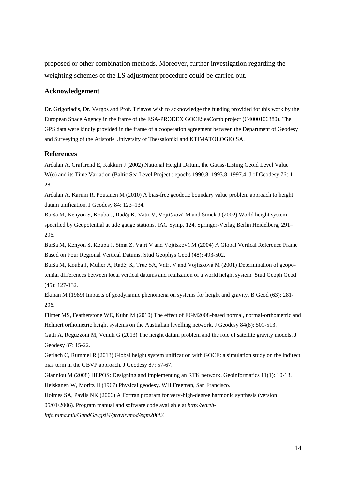proposed or other combination methods. Moreover, further investigation regarding the weighting schemes of the LS adjustment procedure could be carried out.

#### **Acknowledgement**

Dr. Grigoriadis, Dr. Vergos and Prof. Tziavos wish to acknowledge the funding provided for this work by the European Space Agency in the frame of the ESA-PRODEX GOCESeaComb project (C4000106380). The GPS data were kindly provided in the frame of a cooperation agreement between the Department of Geodesy and Surveying of the Aristotle University of Thessaloniki and KTIMATOLOGIO SA.

#### **References**

Ardalan A, Grafarend E, Kakkuri J (2002) National Height Datum, the Gauss-Listing Geoid Level Value W(o) and its Time Variation (Baltic Sea Level Project : epochs 1990.8, 1993.8, 1997.4. J of Geodesy 76: 1- 28.

Ardalan A, Karimi R, Poutanen M (2010) A bias-free geodetic boundary value problem approach to height datum unification. J Geodesy 84: 123–134.

Burša M, Kenyon S, Kouba J, Raděj K, Vatrt V, Vojtíšková M and Šimek J (2002) World height system specified by Geopotential at tide gauge stations. IAG Symp, 124, Springer-Verlag Berlin Heidelberg, 291– 296.

Burša M, Kenyon S, Kouba J, Sima Z, Vatrt V and Vojtísková M (2004) A Global Vertical Reference Frame Based on Four Regional Vertical Datums. Stud Geophys Geod (48): 493-502.

Burša M, Kouba J, Müller A, Raděj K, True SA, Vatrt V and Vojtísková M (2001) Determination of geopotential differences between local vertical datums and realization of a world height system. Stud Geoph Geod (45): 127-132.

Ekman M (1989) Impacts of geodynamic phenomena on systems for height and gravity. B Geod (63): 281- 296.

Filmer MS, Featherstone WE, Kuhn M (2010) The effect of EGM2008-based normal, normal-orthometric and Helmert orthometric height systems on the Australian levelling network. J Geodesy 84(8): 501-513.

Gatti A, Reguzzoni M, Venuti G (2013) The height datum problem and the role of satellite gravity models. J Geodesy 87: 15-22.

Gerlach C, Rummel R (2013) Global height system unification with GOCE: a simulation study on the indirect bias term in the GBVP approach. J Geodesy 87: 57-67.

Gianniou M (2008) HEPOS: Designing and implementing an RTK network. Geoinformatics 11(1): 10-13. Heiskanen W, Moritz H (1967) Physical geodesy. WH Freeman, San Francisco.

Holmes SA, Pavlis NK (2006) A Fortran program for very-high-degree harmonic synthesis (version 05/01/2006). Program manual and software code available at *http://earth-*

*info.nima.mil/GandG/wgs84/gravitymod/egm2008/.*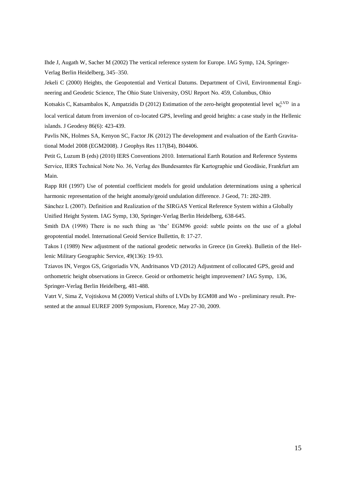Ihde J, Augath W, Sacher M (2002) The vertical reference system for Europe. IAG Symp, 124, Springer-Verlag Berlin Heidelberg, 345–350.

Jekeli C (2000) Heights, the Geopotential and Vertical Datums. Department of Civil, Environmental Engineering and Geodetic Science, The Ohio State University, OSU Report No. 459, Columbus, Ohio

Kotsakis C, Katsambalos K, Ampatzidis D (2012) Estimation of the zero-height geopotential level  $W_0^{\text{LVD}}$  in a local vertical datum from inversion of co-located GPS, leveling and geoid heights: a case study in the Hellenic islands. J Geodesy 86(6): 423-439.

Pavlis NK, Holmes SA, Kenyon SC, Factor JK (2012) The development and evaluation of the Earth Gravitational Model 2008 (EGM2008). J Geophys Res 117(B4), B04406.

Petit G, Luzum B (eds) (2010) IERS Conventions 2010. International Earth Rotation and Reference Systems Service, IERS Technical Note No. 36, Verlag des Bundesamtes für Kartographie und Geodäsie, Frankfurt am Main.

Rapp RH (1997) Use of potential coefficient models for geoid undulation determinations using a spherical harmonic representation of the height anomaly/geoid undulation difference. J Geod, 71: 282-289.

Sánchez L (2007). Definition and Realization of the SIRGAS Vertical Reference System within a Globally Unified Height System. IAG Symp, 130, Springer-Verlag Berlin Heidelberg, 638-645.

Smith DA (1998) There is no such thing as 'the' EGM96 geoid: subtle points on the use of a global geopotential model. International Geoid Service Bullettin, 8: 17-27.

Takos I (1989) New adjustment of the national geodetic networks in Greece (in Greek). Bulletin of the Hellenic Military Geographic Service, 49(136): 19-93.

Tziavos IN, Vergos GS, Grigoriadis VN, Andritsanos VD (2012) Adjustment of collocated GPS, geoid and orthometric height observations in Greece. Geoid or orthometric height improvement? IAG Symp, 136, Springer-Verlag Berlin Heidelberg, 481-488.

Vatrt V, Sima Z, Vojtiskova M (2009) Vertical shifts of LVDs by EGM08 and Wo - preliminary result. Presented at the annual EUREF 2009 Symposium, Florence, May 27-30, 2009.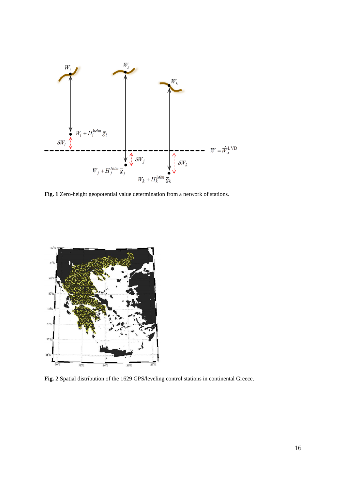

**Fig. 1** Zero-height geopotential value determination from a network of stations.



**Fig. 2** Spatial distribution of the 1629 GPS/leveling control stations in continental Greece.